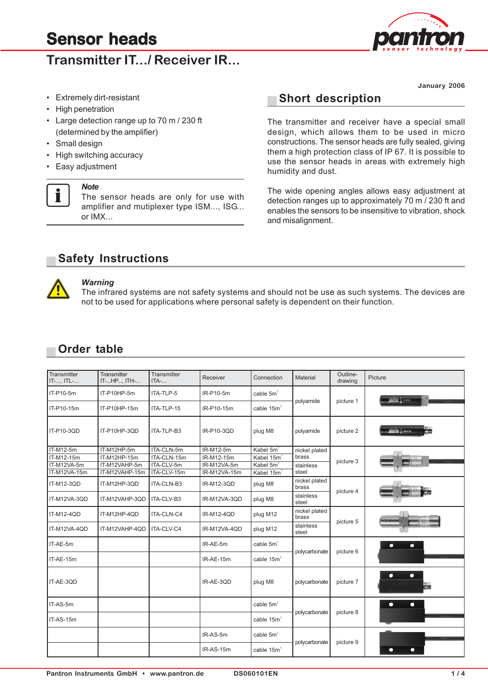# **Transmitter IT.** / Receiver IR



**January 2006**

- Extremely dirt-resistant
- High penetration
- Large detection range up to 70 m / 230 ft (determined by the amplifier)
- Small design
- High switching accuracy
- Easy adjustment

#### *Note*

i

The sensor heads are only for use with amplifier and mutiplexer type ISM..., ISG... or IMX...

### **Short description**

The transmitter and receiver have a special small design, which allows them to be used in micro constructions. The sensor heads are fully sealed, giving them a high protection class of IP 67. It is possible to use the sensor heads in areas with extremely high humidity and dust.

The wide opening angles allows easy adjustment at detection ranges up to approximately 70 m / 230 ft and enables the sensors to be insensitive to vibration, shock and misalignment.

## **Safety Instructions**



#### *Warning*

The infrared systems are not safety systems and should not be use as such systems. The devices are not to be used for applications where personal safety is dependent on their function.

### **Order table**

| Transmitter<br>IT-, ITL- | Transmitter<br>IT-HP, ITH- | Transmitter<br>ITA- | Receiver     | Connection             | Material               | Outline-<br>drawing | Picture          |  |
|--------------------------|----------------------------|---------------------|--------------|------------------------|------------------------|---------------------|------------------|--|
| IT-P10-5m                | IT-P10HP-5m                | ITA-TLP-5           | IR-P10-5m    | cable $5m1$            | polyamide              | picture 1           | pontras y creso  |  |
| IT-P10-15m               | IT-P10HP-15m               | ITA-TLP-15          | IR-P10-15m   | cable $15m1$           |                        |                     |                  |  |
| IT-P10-3QD               | IT-P10HP-3QD               | ITA-TLP-B3          | IR-P10-3QD   | plug M8                | polyamide              | picture 2           | DARITAD & URLPSO |  |
| IT-M12-5m                | IT-M12HP-5m                | ITA-CLN-5m          | IR-M12-5m    | Kabel 5m <sup>1</sup>  | nickel plated          |                     |                  |  |
| IT-M12-15m               | IT-M12HP-15m               | ITA-CLN-15m         | IR-M12-15m   | Kabel 15m <sup>1</sup> | brass                  |                     |                  |  |
| IT-M12VA-5m              | IT-M12VAHP-5m              | ITA-CLV-5m          | IR-M12VA-5m  | Kabel 5m <sup>1</sup>  | stainless              | picture 3           |                  |  |
| IT-M12VA-15m             | IT-M12VAHP-15m             | ITA-CLV-15m         | IR-M12VA-15m | Kabel 15m <sup>1</sup> | steel                  |                     |                  |  |
| IT-M12-3QD               | IT-M12HP-3QD               | ITA-CLN-B3          | IR-M12-3QD   | plug M8                | nickel plated<br>brass |                     |                  |  |
| IT-M12VA-3QD             | IT-M12VAHP-3QD             | ITA-CLV-B3          | IR-M12VA-3QD | plug M8                | stainless<br>steel     | picture 4           |                  |  |
| IT-M12-4QD               | IT-M12HP-4QD               | ITA-CLN-C4          | IR-M12-4QD   | plug M12               | nickel plated<br>brass | picture 5           |                  |  |
| IT-M12VA-4QD             | IT-M12VAHP-4QD             | ITA-CLV-C4          | IR-M12VA-4QD | plug M12               | stainless<br>steel     |                     |                  |  |
| IT-AE-5m                 |                            |                     | IR-AE-5m     | cable $5m1$            | polycarbonate          | picture 6           | ο                |  |
| IT-AE-15m                |                            |                     | IR-AE-15m    | cable 15m <sup>1</sup> |                        |                     |                  |  |
| IT-AE-3QD                |                            |                     | IR-AE-3QD    | plug M8                | polycarbonate          | picture 7           | о                |  |
| IT-AS-5m                 |                            |                     |              | cable $5m1$            | polycarbonate          | picture 8           | ۰<br>о           |  |
| IT-AS-15m                |                            |                     |              | cable 15m <sup>1</sup> |                        |                     |                  |  |
|                          |                            |                     | IR-AS-5m     | cable $5m1$            | polycarbonate          | picture 9           |                  |  |
|                          |                            |                     | IR-AS-15m    | cable 15m <sup>1</sup> |                        |                     | ۰                |  |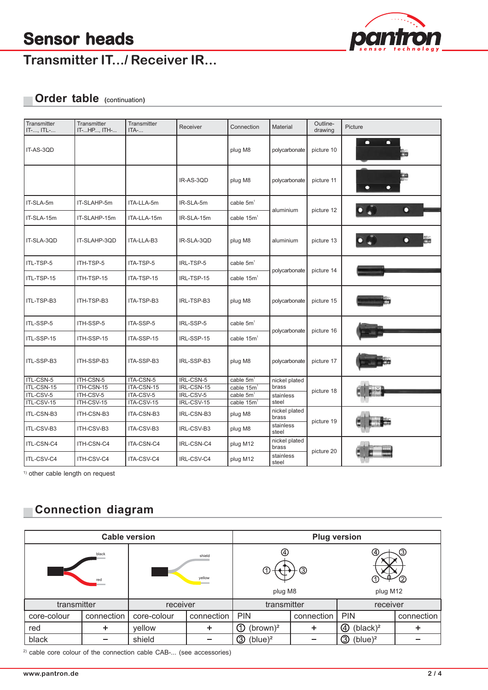

# **Transmitter IT.../ Receiver IR...**

# **Order table (**continuation**)**

| Transmitter<br>IT-, ITL- | Transmitter<br>IT-HP, ITH- | Transmitter<br>ITA-     | Receiver                | Connection                                      | Material               | Outline-<br>drawing | Picture   |  |
|--------------------------|----------------------------|-------------------------|-------------------------|-------------------------------------------------|------------------------|---------------------|-----------|--|
| IT-AS-3QD                |                            |                         |                         | plug M8                                         | polycarbonate          | picture 10          | ◘         |  |
|                          |                            |                         | IR-AS-3QD               | plug M8                                         | polycarbonate          | picture 11          | $\bullet$ |  |
| IT-SLA-5m                | IT-SLAHP-5m                | ITA-LLA-5m              | IR-SLA-5m               | cable 5m <sup>1</sup>                           |                        | picture 12          | О         |  |
| IT-SLA-15m               | IT-SLAHP-15m               | ITA-LLA-15m             | IR-SLA-15m              | cable $15m1$                                    | aluminium              |                     |           |  |
| IT-SLA-3QD               | IT-SLAHP-3QD               | ITA-LLA-B3              | IR-SLA-3QD              | plug M8                                         | aluminium              | picture 13          |           |  |
| ITL-TSP-5                | ITH-TSP-5                  | ITA-TSP-5               | IRL-TSP-5               | cable 5m <sup>1</sup>                           |                        | picture 14          |           |  |
| ITL-TSP-15               | ITH-TSP-15                 | ITA-TSP-15              | IRL-TSP-15              | cable $15m1$                                    | polycarbonate          |                     |           |  |
| ITL-TSP-B3               | ITH-TSP-B3                 | ITA-TSP-B3              | IRL-TSP-B3              | plug M8                                         | polycarbonate          | picture 15          |           |  |
| ITL-SSP-5                | ITH-SSP-5                  | ITA-SSP-5               | IRL-SSP-5               | cable $5m1$                                     |                        | picture 16          |           |  |
| ITL-SSP-15               | ITH-SSP-15                 | ITA-SSP-15              | IRL-SSP-15              | cable $15m1$                                    | polycarbonate          |                     |           |  |
| ITL-SSP-B3               | ITH-SSP-B3                 | ITA-SSP-B3              | IRL-SSP-B3              | plug M8                                         | polycarbonate          | picture 17          |           |  |
| ITL-CSN-5                | ITH-CSN-5                  | ITA-CSN-5               | IRL-CSN-5               | cable 5m <sup>1</sup>                           | nickel plated          | picture 18          |           |  |
| ITL-CSN-15<br>ITL-CSV-5  | ITH-CSN-15<br>ITH-CSV-5    | ITA-CSN-15<br>ITA-CSV-5 | IRL-CSN-15<br>IRL-CSV-5 | cable 15m <sup>1</sup><br>cable 5m <sup>1</sup> | brass                  |                     |           |  |
| ITL-CSV-15               | ITH-CSV-15                 | ITA-CSV-15              | IRL-CSV-15              | cable 15m <sup>1</sup>                          | stainless<br>steel     |                     |           |  |
| ITL-CSN-B3               | ITH-CSN-B3                 | ITA-CSN-B3              | IRL-CSN-B3              | plug M8                                         | nickel plated<br>brass | picture 19          |           |  |
| ITL-CSV-B3               | ITH-CSV-B3                 | ITA-CSV-B3              | IRL-CSV-B3              | plug M8                                         | stainless<br>steel     |                     |           |  |
| ITL-CSN-C4               | ITH-CSN-C4                 | ITA-CSN-C4              | IRL-CSN-C4              | plug M12                                        | nickel plated<br>brass | picture 20          |           |  |
| ITL-CSV-C4               | ITH-CSV-C4                 | ITA-CSV-C4              | IRL-CSV-C4              | plug M12                                        | stainless<br>steel     |                     |           |  |

<sup>1)</sup> other cable length on request

# **Connection diagram**

| <b>Cable version</b> |            |                  |            | <b>Plug version</b>                |            |                  |            |  |
|----------------------|------------|------------------|------------|------------------------------------|------------|------------------|------------|--|
| black<br>red         |            | shield<br>yellow |            | C<br>③<br>plug M8                  |            | ൫<br>plug M12    |            |  |
| transmitter          |            | receiver         |            | transmitter                        |            | receiver         |            |  |
| core-colour          | connection | core-colour      | connection | <b>PIN</b>                         | connection | <b>PIN</b>       | connection |  |
| red                  | ٠          | yellow           | ┿          | Œ<br>(brown) <sup>2</sup>          | ٠          | $(black)^2$<br>④ | ٠          |  |
| black                |            | shield           |            | $\circledS$<br>(blue) <sup>2</sup> |            | $(blue)^2$<br>③  |            |  |

<sup>2)</sup> cable core colour of the connection cable CAB-... (see accessories)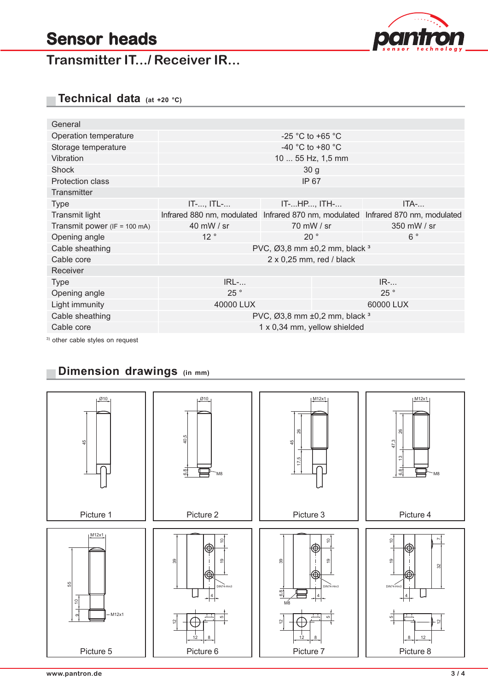**Transmitter IT.../ Receiver IR...**



**Technical data (at +20 °C)**

| General                          |                                              |                                                                                  |             |  |  |  |
|----------------------------------|----------------------------------------------|----------------------------------------------------------------------------------|-------------|--|--|--|
| Operation temperature            | -25 °C to +65 °C                             |                                                                                  |             |  |  |  |
| Storage temperature              | $-40$ °C to $+80$ °C                         |                                                                                  |             |  |  |  |
| Vibration                        | 10  55 Hz, 1,5 mm                            |                                                                                  |             |  |  |  |
| Shock                            |                                              | 30 <sub>g</sub>                                                                  |             |  |  |  |
| <b>Protection class</b>          | IP 67                                        |                                                                                  |             |  |  |  |
| Transmitter                      |                                              |                                                                                  |             |  |  |  |
| <b>Type</b>                      | $IT$ -, $ITL$ -                              | IT-HP, ITH-                                                                      | $ITA-.$     |  |  |  |
| Transmit light                   |                                              | Infrared 880 nm, modulated Infrared 870 nm, modulated Infrared 870 nm, modulated |             |  |  |  |
| Transmit power (IF = 100 mA)     | 40 mW / sr                                   | 70 mW / sr                                                                       | 350 mW / sr |  |  |  |
| Opening angle                    | 12°                                          | $20^{\circ}$                                                                     | $6^{\circ}$ |  |  |  |
| Cable sheathing                  | PVC, Ø3,8 mm ±0,2 mm, black 3                |                                                                                  |             |  |  |  |
| Cable core                       | $2 \times 0.25$ mm, red / black              |                                                                                  |             |  |  |  |
| Receiver                         |                                              |                                                                                  |             |  |  |  |
| <b>Type</b>                      | $IRL-.$                                      |                                                                                  | $IR$ -      |  |  |  |
| Opening angle                    | 25°                                          |                                                                                  | 25°         |  |  |  |
| Light immunity                   | 40000 LUX                                    |                                                                                  | 60000 LUX   |  |  |  |
| Cable sheathing                  | PVC, $\varnothing$ 3,8 mm ±0,2 mm, black $3$ |                                                                                  |             |  |  |  |
| Cable core                       | 1 x 0,34 mm, yellow shielded                 |                                                                                  |             |  |  |  |
| 3) other cable styles on request |                                              |                                                                                  |             |  |  |  |

# **Dimension drawings (in mm)**